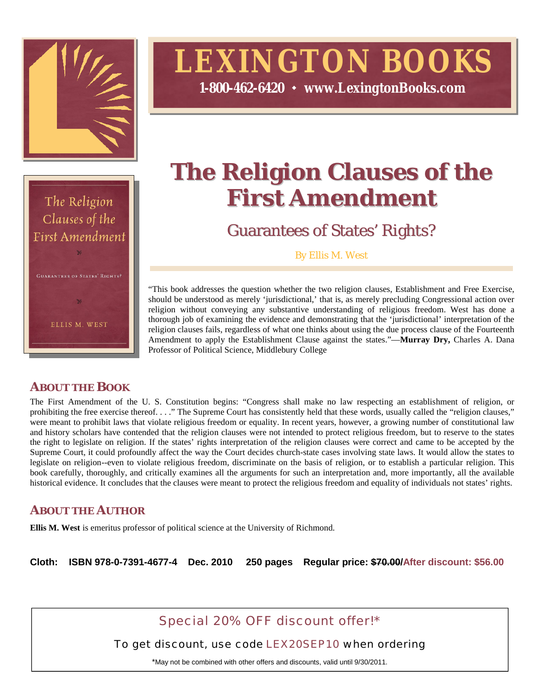

# **LEXINGTON BOOKS**

**1-800-462-6420 www.LexingtonBooks.com**



# **The Religion Clauses of the First Amendment**

Guarantees of States' Rights?

By Ellis M. West

"This book addresses the question whether the two religion clauses, Establishment and Free Exercise, should be understood as merely 'jurisdictional,' that is, as merely precluding Congressional action over religion without conveying any substantive understanding of religious freedom. West has done a thorough job of examining the evidence and demonstrating that the 'jurisdictional' interpretation of the religion clauses fails, regardless of what one thinks about using the due process clause of the Fourteenth Amendment to apply the Establishment Clause against the states."—**Murray Dry,** Charles A. Dana Professor of Political Science, Middlebury College

### **ABOUT THE BOOK**

The First Amendment of the U. S. Constitution begins: "Congress shall make no law respecting an establishment of religion, or prohibiting the free exercise thereof. . . ." The Supreme Court has consistently held that these words, usually called the "religion clauses," were meant to prohibit laws that violate religious freedom or equality. In recent years, however, a growing number of constitutional law and history scholars have contended that the religion clauses were not intended to protect religious freedom, but to reserve to the states the right to legislate on religion. If the states' rights interpretation of the religion clauses were correct and came to be accepted by the Supreme Court, it could profoundly affect the way the Court decides church-state cases involving state laws. It would allow the states to legislate on religion--even to violate religious freedom, discriminate on the basis of religion, or to establish a particular religion. This book carefully, thoroughly, and critically examines all the arguments for such an interpretation and, more importantly, all the available historical evidence. It concludes that the clauses were meant to protect the religious freedom and equality of individuals not states' rights.

## **ABOUT THE AUTHOR**

**Ellis M. West** is emeritus professor of political science at the University of Richmond.

**Cloth: ISBN 978-0-7391-4677-4 Dec. 2010 250 pages Regular price: \$70.00/After discount: \$56.00**

Special 20% OFF discount offer!\*

To get discount, use code LEX20SEP10 when ordering

\*May not be combined with other offers and discounts, valid until 9/30/2011.